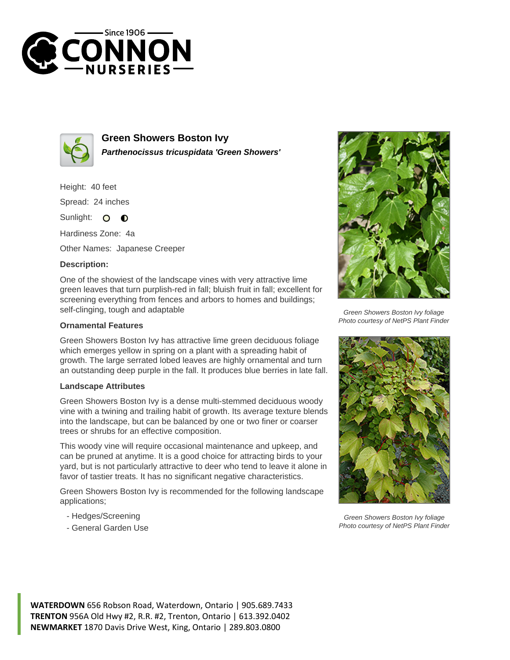



**Green Showers Boston Ivy Parthenocissus tricuspidata 'Green Showers'**

Height: 40 feet

Spread: 24 inches

Sunlight: O  $\bullet$ 

Hardiness Zone: 4a

Other Names: Japanese Creeper

## **Description:**

One of the showiest of the landscape vines with very attractive lime green leaves that turn purplish-red in fall; bluish fruit in fall; excellent for screening everything from fences and arbors to homes and buildings; self-clinging, tough and adaptable

## **Ornamental Features**

Green Showers Boston Ivy has attractive lime green deciduous foliage which emerges yellow in spring on a plant with a spreading habit of growth. The large serrated lobed leaves are highly ornamental and turn an outstanding deep purple in the fall. It produces blue berries in late fall.

## **Landscape Attributes**

Green Showers Boston Ivy is a dense multi-stemmed deciduous woody vine with a twining and trailing habit of growth. Its average texture blends into the landscape, but can be balanced by one or two finer or coarser trees or shrubs for an effective composition.

This woody vine will require occasional maintenance and upkeep, and can be pruned at anytime. It is a good choice for attracting birds to your yard, but is not particularly attractive to deer who tend to leave it alone in favor of tastier treats. It has no significant negative characteristics.

Green Showers Boston Ivy is recommended for the following landscape applications;

- Hedges/Screening
- General Garden Use



Green Showers Boston Ivy foliage Photo courtesy of NetPS Plant Finder



Green Showers Boston Ivy foliage Photo courtesy of NetPS Plant Finder

**WATERDOWN** 656 Robson Road, Waterdown, Ontario | 905.689.7433 **TRENTON** 956A Old Hwy #2, R.R. #2, Trenton, Ontario | 613.392.0402 **NEWMARKET** 1870 Davis Drive West, King, Ontario | 289.803.0800